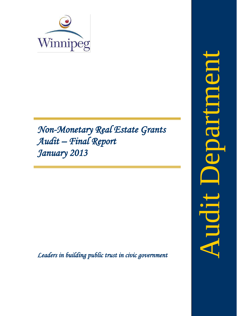

# *Non-Monetary Real Estate Grants Audit – Final Report January 2013*

<span id="page-0-0"></span>*Leaders in building public trust in civic government*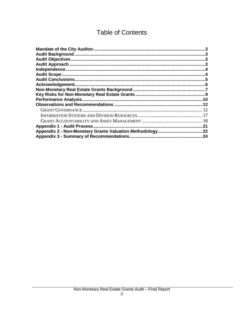# **Table of Contents**

| <b>Performance Analysis</b> | .10 |
|-----------------------------|-----|
|                             | .12 |
|                             |     |
|                             |     |
|                             |     |
| Appendix 1 - Audit Process. | .21 |
|                             |     |
|                             |     |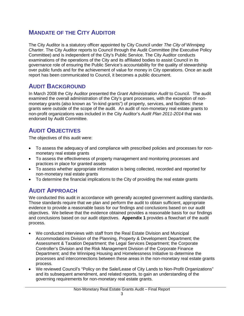# <span id="page-3-0"></span>**MANDATE OF THE CITY AUDITOR**

The City Auditor is a statutory officer appointed by City Council under *The City of Winnipeg Charter*. The City Auditor reports to Council through the Audit Committee (the Executive Policy Committee) and is independent of the City's Public Service. The City Auditor conducts examinations of the operations of the City and its affiliated bodies to assist Council in its governance role of ensuring the Public Service's accountability for the quality of stewardship over public funds and for the achievement of value for money in City operations. Once an audit report has been communicated to Council, it becomes a public document.

# <span id="page-3-1"></span>**AUDIT BACKGROUND**

In March 2008 the City Auditor presented the *Grant Administration Audit* to Council. The audit examined the overall administration of the City's grant processes, with the exception of nonmonetary grants (also known as "in-kind grants") of property, services, and facilities: these grants were outside of the scope of the audit. An audit of non-monetary real estate grants to non-profit organizations was included in the City Auditor's *Audit Plan 2011-2014* that was endorsed by Audit Committee.

# <span id="page-3-2"></span>**AUDIT OBJECTIVES**

The objectives of this audit were:

- To assess the adequacy of and compliance with prescribed policies and processes for nonmonetary real estate grants
- To assess the effectiveness of property management and monitoring processes and practices in place for granted assets
- To assess whether appropriate information is being collected, recorded and reported for non-monetary real estate grants
- <span id="page-3-3"></span>• To determine the financial implications to the City of providing the real estate grants

# **AUDIT APPROACH**

We conducted this audit in accordance with generally accepted government auditing standards. Those standards require that we plan and perform the audit to obtain sufficient, appropriate evidence to provide a reasonable basis for our findings and conclusions based on our audit objectives. We believe that the evidence obtained provides a reasonable basis for our findings and conclusions based on our audit objectives. **Appendix 1** provides a flowchart of the audit process.

- We conducted interviews with staff from the Real Estate Division and Municipal Accommodations Division of the Planning, Property & Development Department; the Assessment & Taxation Department; the Legal Services Department; the Corporate Controller's Division and the Risk Management Division of the Corporate Finance Department; and the Winnipeg Housing and Homelessness Initiative to determine the processes and interconnections between these areas in the non-monetary real estate grants process.
- We reviewed Council's "Policy on the Sale/Lease of City Lands to Non-Profit Organizations" and its subsequent amendment, and related reports, to gain an understanding of the governing requirements for non-monetary real estate grants.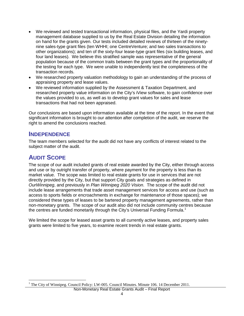- We reviewed and tested transactional information, physical files, and the Yardi property management database supplied to us by the Real Estate Division detailing the information on hand for the grants given. Our tests included detailed reviews of thirteen of the ninetynine sales-type grant files (ten WHHI; one CentreVenture; and two sales transactions to other organizations); and ten of the sixty-four lease-type grant files (six building leases, and four land leases). We believe this stratified sample was representative of the general population because of the common traits between the grant types and the proportionality of the testing for each type. We were unable to independently test the completeness of the transaction records.
- We researched property valuation methodology to gain an understanding of the process of appraising property and lease values.
- We reviewed information supplied by the Assessment & Taxation Department, and researched property value information on the City's iView software, to gain confidence over the values provided to us, as well as to develop grant values for sales and lease transactions that had not been appraised.

Our conclusions are based upon information available at the time of the report. In the event that significant information is brought to our attention after completion of the audit, we reserve the right to amend the conclusions reached.

# <span id="page-4-0"></span>**INDEPENDENCE**

The team members selected for the audit did not have any conflicts of interest related to the subject matter of the audit.

# <span id="page-4-1"></span>**AUDIT SCOPE**

The scope of our audit included grants of real estate awarded by the City, either through access and use or by outright transfer of property, where payment for the property is less than its market value. The scope was limited to real estate grants for use in services that are not directly provided by the City, but that support City goals and strategies as defined in *OurWinnipeg*, and previously in *Plan Winnipeg 2020 Vision*. The scope of the audit did not include lease arrangements that trade asset management services for access and use (such as access to sports fields or encroachments in exchange for maintenance of those spaces); we considered these types of leases to be bartered property management agreements, rather than non-monetary grants. The scope of our audit also did not include community centres because the centres are funded monetarily through the City's Universal Funding Formula.<sup>[1](#page-0-0)</sup>

We limited the scope for leased asset grants to all currently active leases, and property sales grants were limited to five years, to examine recent trends in real estate grants.

<span id="page-4-2"></span><sup>&</sup>lt;sup>1</sup> The City of Winnipeg. Council Policy: LW-005. Council Minutes. Minute 106. 14 December 2011.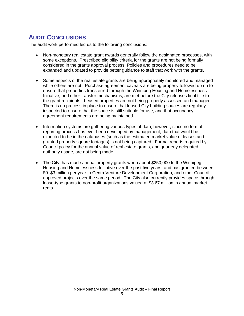# <span id="page-5-0"></span>**AUDIT CONCLUSIONS**

The audit work performed led us to the following conclusions:

- Non-monetary real estate grant awards generally follow the designated processes, with some exceptions. Prescribed eligibility criteria for the grants are not being formally considered in the grants approval process. Policies and procedures need to be expanded and updated to provide better guidance to staff that work with the grants.
- Some aspects of the real estate grants are being appropriately monitored and managed while others are not. Purchase agreement caveats are being properly followed up on to ensure that properties transferred through the Winnipeg Housing and Homelessness Initiative, and other transfer mechanisms, are met before the City releases final title to the grant recipients. Leased properties are not being properly assessed and managed. There is no process in place to ensure that leased City building spaces are regularly inspected to ensure that the space is still suitable for use, and that occupancy agreement requirements are being maintained.
- Information systems are gathering various types of data; however, since no formal reporting process has ever been developed by management, data that would be expected to be in the databases (such as the estimated market value of leases and granted property square footages) is not being captured. Formal reports required by Council policy for the annual value of real estate grants, and quarterly delegated authority usage, are not being made.
- The City has made annual property grants worth about \$250,000 to the Winnipeg Housing and Homelessness Initiative over the past five years, and has granted between \$0–\$3 million per year to CentreVenture Development Corporation, and other Council approved projects over the same period. The City also currently provides space through lease-type grants to non-profit organizations valued at \$3.67 million in annual market rents.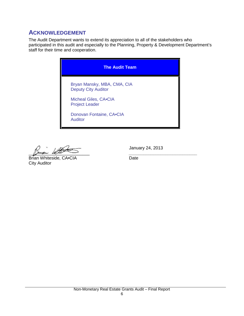# <span id="page-6-0"></span>**ACKNOWLEDGEMENT**

The Audit Department wants to extend its appreciation to all of the stakeholders who participated in this audit and especially to the Planning, Property & Development Department's staff for their time and cooperation.

| <b>The Audit Team</b>                                     |  |
|-----------------------------------------------------------|--|
| Bryan Mansky, MBA, CMA, CIA<br><b>Deputy City Auditor</b> |  |
| Micheal Giles, CA.CIA<br><b>Project Leader</b>            |  |
| Donovan Fontaine, CA.CIA<br><b>Auditor</b>                |  |

 $\mu$  is the set of  $\mu$  and  $\mu$  and  $\mu$  and  $\mu$  and  $\mu$  and  $\mu$  and  $\mu$  and  $\mu$  and  $\mu$  and  $\mu$  and  $\mu$  and  $\mu$  and  $\mu$  and  $\mu$  and  $\mu$  and  $\mu$  and  $\mu$  and  $\mu$  and  $\mu$  and  $\mu$  and  $\mu$  and  $\mu$  and  $\mu$ 

Brian Whiteside, CA•CIA Date City Auditor

January 24, 2013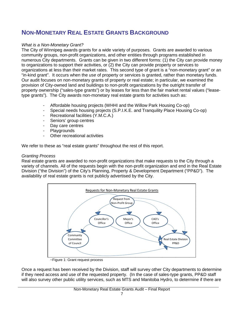# <span id="page-7-0"></span>**NON-MONETARY REAL ESTATE GRANTS BACKGROUND**

# *What is a Non-Monetary Grant?*

The City of Winnipeg awards grants for a wide variety of purposes. Grants are awarded to various community groups, non-profit organizations, and other entities through programs established in numerous City departments. Grants can be given in two different forms: (1) the City can provide money to organizations to support their activities, or (2) the City can provide property or services to organizations at less than their market rates. This second type of grant is a "non-monetary grant" or an "in-kind grant". It occurs when the *use* of property or services is granted, rather than monetary funds. Our audit focuses on non-monetary grants of property or real estate; in particular, we examined the provision of City-owned land and buildings to non-profit organizations by the outright transfer of property ownership ("sales-type grants") or by leases for less than the fair market rental values ("leasetype grants"). The City awards non-monetary real estate grants for activities such as:

- Affordable housing projects (WHHI and the Willow Park Housing Co-op)
- Special needs housing projects (S.P.I.K.E. and Tranquility Place Housing Co-op)
- Recreational facilities (Y.M.C.A.)
- Seniors' group centres
- Day care centres
- **Playgrounds**
- Other recreational activities

We refer to these as "real estate grants" throughout the rest of this report.

## *Granting Process*

Real estate grants are awarded to non-profit organizations that make requests to the City through a variety of channels. All of the requests begin with the non-profit organization and end in the Real Estate Division ("the Division") of the City's Planning, Property & Development Department ("PP&D"). The availability of real estate grants is not publicly advertised by the City.



~Figure 1: Grant request process

Once a request has been received by the Division, staff will survey other City departments to determine if they need access and use of the requested property. (In the case of sales-type grants, PP&D staff will also survey other public utility services, such as MTS and Manitoba Hydro, to determine if there are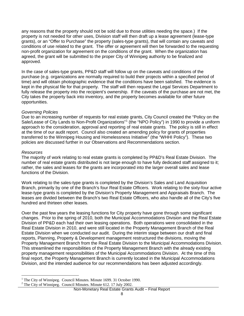any reasons that the property should not be sold due to those utilities needing the space.) If the property is not needed for other uses, Division staff will then draft up a lease agreement (lease-type grants), or an "Offer to Purchase" the property (sales-type grants), that will contain any caveats and conditions of use related to the grant. The offer or agreement will then be forwarded to the requesting non-profit organization for agreement on the conditions of the grant. When the organization has agreed, the grant will be submitted to the proper City of Winnipeg authority to be finalized and approved.

In the case of sales-type grants, PP&D staff will follow up on the caveats and conditions of the purchase (e.g. organizations are normally required to build their projects within a specified period of time) and will obtain photographic evidence that the conditions have been satisfied. The evidence is kept in the physical file for that property. The staff will then request the Legal Services Department to fully release the property into the recipient's ownership. If the caveats of the purchase are not met, the City takes the property back into inventory, and the property becomes available for other future opportunities.

## *Governing Policies*

Due to an increasing number of requests for real estate grants, City Council created the "Policy on the Sale/Lease of City Lands to Non-Profit Organizations"<sup>[1](#page-4-2)</sup> (the "NPO Policy") in 1990 to provide a uniform approach to the consideration, approval and reporting of real estate grants. The policy is still in effect at the time of our audit report. Council also created an amending policy for grants of properties transferred to the Winnipeg Housing and Homelessness Initiative<sup>[2](#page-8-0)</sup> (the "WHHI Policy"). These two policies are discussed further in our Observations and Recommendations section.

### *Resources*

The majority of work relating to real estate grants is completed by PP&D's Real Estate Division. The number of real estate grants distributed is not large enough to have fully dedicated staff assigned to it; rather, the sales and leases for the grants are incorporated into the larger overall sales and lease functions of the Division.

Work relating to the sales-type grants is completed by the Division's Sales and Land Acquisition Branch, primarily by one of the Branch's four Real Estate Officers. Work relating to the sixty-four active lease-type grants is completed by the Division's Property Management and Appraisals Branch. The leases are divided between the Branch's two Real Estate Officers, who also handle all of the City's five hundred and thirteen other leases.

Over the past few years the leasing functions for City property have gone through some significant changes. Prior to the spring of 2010, both the Municipal Accommodations Division and the Real Estate Division of PP&D each had their own leasing operations. Both operations were consolidated in the Real Estate Division in 2010, and were still located in the Property Management Branch of the Real Estate Division when we conducted our audit. During the interim stage between our draft and final reports, Planning, Property & Development management restructured the divisions, moving the Property Management Branch from the Real Estate Division to the Municipal Accommodations Division. This streamlined the responsibilities of the Property Management Branch with the already existing property management responsibilities of the Municipal Accommodations Division. At the time of this final report, the Property Management Branch is currently located in the Municipal Accommodations Division, and the intended audience for our recommendations has been adjusted accordingly.

<span id="page-8-1"></span><sup>&</sup>lt;sup>1</sup> The City of Winnipeg. Council Minutes. Minute 1699. 31 October 1990.  $2^2$  The City of Winnipeg. Council Minutes. Minute 612. 17 July 2002.

<span id="page-8-0"></span>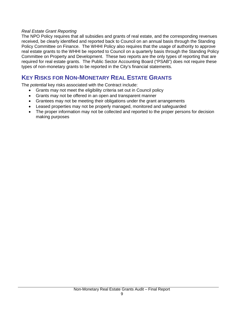### *Real Estate Grant Reporting*

The NPO Policy requires that all subsidies and grants of real estate, and the corresponding revenues received, be clearly identified and reported back to Council on an annual basis through the Standing Policy Committee on Finance. The WHHI Policy also requires that the usage of authority to approve real estate grants to the WHHI be reported to Council on a quarterly basis through the Standing Policy Committee on Property and Development. These two reports are the only types of reporting that are required for real estate grants. The Public Sector Accounting Board ("PSAB") does not require these types of non-monetary grants to be reported in the City's financial statements.

# <span id="page-9-0"></span>**KEY RISKS FOR NON-MONETARY REAL ESTATE GRANTS**

The *potential* key risks associated with the Contract include:

- Grants may not meet the eligibility criteria set out in Council policy
- Grants may not be offered in an open and transparent manner
- Grantees may not be meeting their obligations under the grant arrangements
- Leased properties may not be properly managed, monitored and safeguarded
- The proper information may not be collected and reported to the proper persons for decision making purposes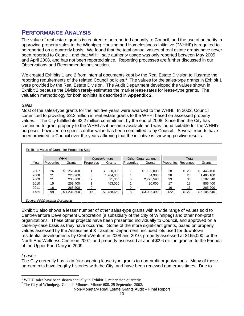# <span id="page-10-0"></span>**PERFORMANCE ANALYSIS**

The value of real estate grants is required to be reported annually to Council, and the use of authority in approving property sales to the Winnipeg Housing and Homelessness Initiative ("WHHI") is required to be reported on a quarterly basis. We found that the total annual values of real estate grants have never been reported to Council, and that WHHI sale authority usage was only reported between May 2005 and April 2008, and has not been reported since. Reporting processes are further discussed in our Observations and Recommendations section.

We created Exhibits 1 and 2 from internal documents kept by the Real Estate Division to illustrate the reporting requirements of the related Council policies.<sup>[1](#page-8-1)</sup> The values for the sales-type grants in Exhibit 1 were provided by the Real Estate Division. The Audit Department developed the values shown in Exhibit 2 because the Division rarely estimates the market lease rates for lease-type grants. The valuation methodology for both exhibits is described in **Appendix 2**.

## *Sales*

Most of the sales-type grants for the last five years were awarded to the WHHI. In 2002, Council committed to providing \$3.2 million in real estate grants to the WHHI based on assessed property values.<sup>[2](#page-10-1)</sup> The City fulfilled its \$3.2 million commitment by the end of 2008. Since then the City has continued to grant property to the WHHI as it became available and was found suitable for the WHHI's purposes; however, no specific dollar-value has been committed to by Council. Several reports have been provided to Council over the years affirming that the initiative is showing positive results.

|       | <b>WHHI</b> |               | <b>CentreVenture</b> |              | <b>Other Organizations</b> |               | Total      |          |               |
|-------|-------------|---------------|----------------------|--------------|----------------------------|---------------|------------|----------|---------------|
| Year  | Properties  | Grants        | Properties           | Grants       | Properties                 | Grants        | Properties | Revenues | Grants        |
|       |             |               |                      |              |                            |               |            |          |               |
| 2007  | 26          | \$<br>251.400 |                      | \$<br>30,000 |                            | \$<br>165,000 | 28         | \$28     | \$<br>446.400 |
| 2008  | 21          | 225.900       | 6                    | 1.204.300    |                            | 54.900        | 28         | 28       | 1.485.100     |
| 2009  | 21          | 235,600       | 7                    | 91.350       | 5                          | 2.775.590     | 33         | 33       | 3.102.540     |
| 2010  | 15          | 253,400       |                      | 463.000      |                            | 90.000        | 17         | 17       | 806.400       |
| 2011  | 16          | 265,200       | 0                    |              |                            |               | 16         | 16       | 265,200       |
| Total | 99          | \$1,231,500   | 15                   | \$1,788,650  | 8                          | \$3,085,490   | 122        | \$122    | \$6,105,640   |

Exhibit 1 also shows a lesser number of other sales-type grants with a wide range of values sold to CentreVenture Development Corporation (a subsidiary of the City of Winnipeg) and other non-profit organizations. These other projects have been presented individually to Council, and approved on a case-by-case basis as they have occurred. Some of the more significant grants, based on property values assessed by the Assessment & Taxation Department, included lots used for downtown residential developments by CentreVenture in 2008 and 2010; property assessed at \$165,000 for the North End Wellness Centre in 2007; and property assessed at about \$2.6 million granted to the Friends of the Upper Fort Garry in 2009.

### *Leases*

The City currently has sixty-four ongoing lease-type grants to non-profit organizations. Many of these agreements have lengthy histories with the City, and have been renewed numerous times. Due to

Non-Monetary Real Estate Grants Audit – Final Report

<span id="page-10-2"></span><sup>&</sup>lt;sup>1</sup> WHHI sales have been shown annually in Exhibit 2, rather than quarterly.

<span id="page-10-1"></span><sup>&</sup>lt;sup>2</sup> The City of Winnipeg. Council Minutes. Minute 688. 25 September 2002.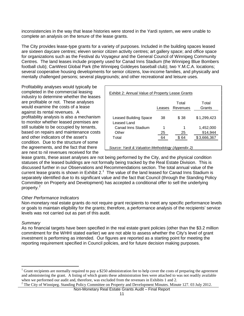inconsistencies in the way that lease histories were stored in the Yardi system, we were unable to complete an analysis on the tenure of the lease grants.

The City provides lease-type grants for a variety of purposes. Included in the building spaces leased are sixteen daycare centres; eleven senior citizen activity centres; art gallery space; and office space for organizations such as the Festival du Voyageur and the General Council of Winnipeg Community Centres. The land leases include property used for Canad Inns Stadium (the Winnipeg Blue Bombers football club); CanWest Global Park (the Winnipeg Goldeyes baseball club); two Y.M.C.A. locations; several cooperative housing developments for senior citizens, low-income families, and physically and mentally challenged persons; several playgrounds; and other recreational and leisure uses.

Profitability analyses would typically be completed in the commercial leasing industry to determine whether the leases are profitable or not. These analyses would examine the costs of a lease against its rental revenues. A profitability analysis is also a mechanism to monitor whether leased premises are still suitable to be occupied by tenants, based on repairs and maintenance costs and other indicators of the asset's condition. Due to the structure of some the agreements, and the fact that there are next to nil revenues received for the

| Exhibit 2: Annual Value of Property Lease Grants   |        |                   |                 |  |  |
|----------------------------------------------------|--------|-------------------|-----------------|--|--|
|                                                    | Leases | Total<br>Revenues | Total<br>Grants |  |  |
| Leased Building Space<br>Leased Land               | 38     | \$38              | \$1,299,423     |  |  |
| Canad Inns Stadium                                 | 1      | 1                 | 1,452,000       |  |  |
| Other                                              | 25     | 25                | 914,944         |  |  |
| Total                                              | 64     | \$ 64             | \$3,666,367     |  |  |
| Source: Yardi & Valuation Methodology (Appendix 2) |        |                   |                 |  |  |

lease grants, these asset analyses are not being performed by the City, and the physical condition statuses of the leased buildings are not formally being tracked by the Real Estate Division. This is discussed further in our Observations and Recommendations section. The total annual value of the current lease grants is shown in Exhibit 2.<sup>[1](#page-10-2)</sup> The value of the land leased for Canad Inns Stadium is separately identified due to its significant value and the fact that Council (through the Standing Policy Committee on Property and Development) has accepted a conditional offer to sell the underlying property. [2](#page-11-0)

### *Other Performance Indicators*

Non-monetary real estate grants do not require grant recipients to meet any specific performance levels or goals to maintain eligibility for the grants; therefore, a performance analysis of the recipients' service levels was not carried out as part of this audit.

#### *Summary*

As no financial targets have been specified in the real estate grant policies (other than the \$3.2 million commitment for the WHHI stated earlier) we are not able to assess whether the City's level of grant investment is performing as intended. Our figures are reported as a starting point for meeting the reporting requirement specified in Council policies, and for future decision making purposes.

Grant recipients are normally required to pay a \$250 administration fee to help cover the costs of preparing the agreement and administering the grant. A listing of which grants these administration fees were attached to was not readily available when we performed our audit and, therefore, was excluded from the revenues in Exhibits 1 and 2.

<span id="page-11-1"></span><span id="page-11-0"></span> $2$  The City of Winnipeg. Standing Policy Committee on Property and Development Minutes. Minute 127. 03 July 2012.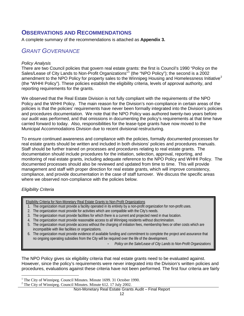# <span id="page-12-0"></span>**OBSERVATIONS AND RECOMMENDATIONS**

<span id="page-12-1"></span>A complete summary of the recommendations is attached as **Appendix 3.**

# *GRANT GOVERNANCE*

### *Policy Analysis*

There are two Council policies that govern real estate grants: the first is Council's 1990 "Policy on the Sales/Lease of City Lands to Non-Profit Organizations<sup>"[1](#page-11-1)</sup> (the "NPO Policy"); the second is a 2002 amendment to the NPO Policy for property sales to the Winnipeg Housing and Homelessness Initiative<sup>[2](#page-12-2)</sup> (the "WHHI Policy"). These policies establish the eligibility criteria, levels of approval authority, and reporting requirements for the grants.

We observed that the Real Estate Division is not fully compliant with the requirements of the NPO Policy and the WHHI Policy. The main reason for the Division's non-compliance in certain areas of the policies is that the policies' requirements have never been formally integrated into the Division's policies and procedures documentation. We note that the NPO Policy was authored twenty-two years before our audit was performed, and that omissions in documenting the policy's requirements at that time have carried forward to today. Also, responsibilities for the lease-type grants have now moved to the Municipal Accommodations Division due to recent divisional restructuring.

To ensure continued awareness and compliance with the policies, formally documented processes for real estate grants should be written and included in both divisions' policies and procedures manuals. Staff should be further trained on processes and procedures relating to real estate grants. The documentation should include procedures for the initiation, selection, approval, reporting, and monitoring of real estate grants, including adequate reference to the NPO Policy and WHHI Policy. The documented processes should also be reviewed and updated from time to time. This will provide management and staff with proper direction for real estate grants, which will improve consistency, compliance, and provide documentation in the case of staff turnover. We discuss the specific areas where we observed non-compliance with the policies below.

### *Eligibility Criteria*

Eligibility Criteria for Non-Monetary Real Estate Grants to Non-Profit Organizations

- 1. The organization must provide a facility operated in its entirety by a non-profit organization for non-profit uses.
- 2. The organization must provide for activities which are compatible with the City's needs.
- 3. The organization must provide facilities for which there is a current and projected need in that location.
- 4. The organization must provide reasonable access to all Winnipeg residents without discrimination.
- 5. The organization must provide access without the charging of initiation fees, membership fees or other costs which are incompatible with like facilities or organizations.
- 6. The organization must provide evidence of available funding and commitment to complete the project and assurance that no ongoing operating subsidies from the City will be required over the life of the development.

- *Policy on the Sale/Lease of City Lands to Non-Profit Organizations*

The NPO Policy gives six eligibility criteria that real estate grants need to be evaluated against. However, since the policy's requirements were never integrated into the Division's written policies and procedures, evaluations against these criteria have not been performed. The first four criteria are fairly

Non-Monetary Real Estate Grants Audit – Final Report

<span id="page-12-3"></span><span id="page-12-2"></span><sup>&</sup>lt;sup>1</sup> The City of Winnipeg. Council Minutes. Minute 1699. 31 October 1990.  $2^2$  The City of Winnipeg. Council Minutes. Minute 612. 17 July 2002.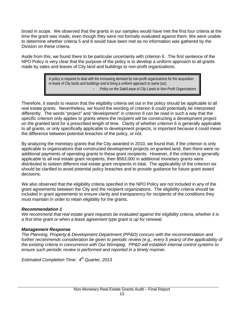broad in scope. We observed that the grants in our samples would have met the first four criteria at the time the grant was made, even though they were not formally evaluated against them. We were unable to determine whether criteria 5 and 6 would have been met as no information was gathered by the Division on these criteria.

Aside from this, we found there to be particular uncertainty with criterion 6. The first sentence of the NPO Policy is very clear that the purpose of the policy is to develop a uniform approach to all grants made by sales and leases of City land and buildings to non-profit organizations.

> A policy is required to deal with the increasing demand by non-profit organizations for the acquisition or lease of City lands and buildings and to bring a uniform approach to same (*sic*). - *Policy on the Sale/Lease of City Lands to Non-Profit Organizations*

Therefore, it stands to reason that the eligibility criteria set out in the policy should be applicable to all real estate grants. Nevertheless, we found the wording of criterion 6 could potentially be interpreted differently. The words "project" and "development" in criterion 6 can be read in such a way that the specific criterion only applies to grants where the recipient will be constructing a development project on the granted land for a prescribed length of time. Clarity of whether criterion 6 is generally applicable to all grants, or only specifically applicable to development projects, is important because it could mean the difference between potential breaches of the policy, or not.

By analyzing the monetary grants that the City awarded in 2010, we found that, if the criterion is only applicable to organizations that constructed development projects on granted land, then there were no additional payments of operating grants to these grant recipients. However, if the criterion is generally applicable to all real estate grant recipients, then \$563,000 in additional monetary grants were distributed to sixteen different real estate grant recipients in total. The applicability of the criterion six should be clarified to avoid potential policy breaches and to provide guidance for future grant award decisions.

We also observed that the eligibility criteria specified in the NPO Policy are not included in any of the grant agreements between the City and the recipient organizations. The eligibility criteria should be included in grant agreements to ensure clarity and transparency for recipients of the conditions they must maintain in order to retain eligibility for the grants.

### *Recommendation 1*

*We recommend that real estate grant requests be evaluated against the eligibility criteria, whether it is a first time grant or when a lease agreement type grant is up for renewal.* 

# *Management Response*

*The Planning, Property & Development Department (PP&D) concurs with the recommendation and further recommends consideration be given to periodic review (e.g., every 5 years) of the applicability of the existing criteria in concurrence with Our Winnipeg. PP&D will establish internal control systems to ensure such periodic review is performed and reported in a timely manner.*

*Estimated Completion Time: 4th Quarter, 2013*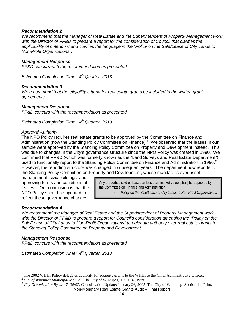#### *Recommendation 2*

*We recommend that the Manager of Real Estate and the Superintendent of Property Management work with the Director of PP&D to prepare a report for the consideration of Council that clarifies the applicability of criterion 6 and clarifies the language in the "Policy on the Sale/Lease of City Lands to Non-Profit Organizations".*

#### *Management Response*

*PP&D concurs with the recommendation as presented.*

*Estimated Completion Time: 4th Quarter, 2013*

#### *Recommendation 3*

*We recommend that the eligibility criteria for real estate grants be included in the written grant agreements.*

#### *Management Response*

*PP&D concurs with the recommendation as presented.* 

*Estimated Completion Time: 4th Quarter, 2013*

#### *Approval Authority*

The NPO Policy requires real estate grants to be approved by the Committee on Finance and Administration (now the Standing Policy Committee on Finance).<sup>[1](#page-12-3)</sup> We observed that the leases in our sample were approved by the Standing Policy Committee on Property and Development instead. This was due to changes in the City's governance structure since the NPO Policy was created in 1990. We confirmed that PP&D (which was formerly known as the "Land Surveys and Real Estate Department") used to functionally report to the Standing Policy Committee on Finance and Administration in 1990.<sup>[2](#page-14-0)</sup> However, the reporting structure was changed in subsequent years. The department now reports to the Standing Policy Committee on Property and Development, whose mandate is over asset

management, civic buildings, and approving terms and conditions of leases.<sup>[3](#page-14-1)</sup> Our conclusion is that the NPO Policy should be updated to reflect these governance changes.

Any properties sold or leased at less than market value [shall] be approved by the Committee on Finance and Administration.

- *Policy on the Sale/Lease of City Lands to Non-Profit Organizations*

#### *Recommendation 4*

*We recommend the Manager of Real Estate and the Superintendent of Property Management work with the Director of PP&D to prepare a report for Council's consideration amending the "Policy on the Sale/Lease of City Lands to Non-Profit Organizations" to delegate authority over real estate grants to the Standing Policy Committee on Property and Development.*

### *Management Response*

*PP&D concurs with the recommendation as presented.* 

*Estimated Completion Time: 4th Quarter, 2013*

<span id="page-14-2"></span><sup>&</sup>lt;sup>1</sup> The 2002 WHHI Policy delegates authority for property grants to the WHHI to the Chief Administrative Officer.<br><sup>2</sup> City of Winnipeg Municipal Manual. The City of Winnipeg, 1990: 87. Print.<br><sup>3</sup> City Organization By-law

<span id="page-14-0"></span>

<span id="page-14-1"></span>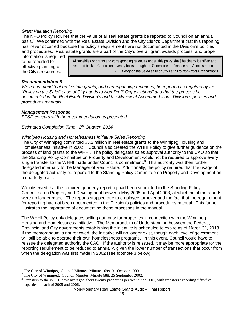### *Grant Valuation Reporting*

The NPO Policy requires that the value of all real estate grants be reported to Council on an annual basis.[1](#page-14-2) We confirmed with the Real Estate Division and the City Clerk's Department that this reporting has never occurred because the policy's requirements are not documented in the Division's policies and procedures. Real estate grants are a part of the City's overall grant awards process, and proper

information is required to be reported for effective planning of the City's resources.

All subsidies or grants and corresponding revenues under [this policy shall] be clearly identified and reported back to Council on a yearly basis through the Committee on Finance and Administration. - *Policy on the Sale/Lease of City Lands to Non-Profit Organizations*

### *Recommendation 5*

*We recommend that real estate grants, and corresponding revenues, be reported as required by the "Policy on the Sale/Lease of City Lands to Non-Profit Organizations" and that the process be documented in the Real Estate Division's and the Municipal Accommodations Division's policies and procedures manuals.*

#### *Management Response*

*PP&D concurs with the recommendation as presented.* 

*Estimated Completion Time: 2nd Quarter, 2014*

#### *Winnipeg Housing and Homelessness Initiative Sales Reporting*

The City of Winnipeg committed \$3.2 million in real estate grants to the Winnipeg Housing and Homelessness Initiative in [2](#page-15-0)002.<sup>2</sup> Council also created the WHHI Policy to give further guidance on the process of land grants to the WHHI. The policy delegates sales approval authority to the CAO so that the Standing Policy Committee on Property and Development would not be required to approve every single transfer to the WHHI made under Council's commitment.<sup>[3](#page-15-1)</sup> This authority was then further delegated internally to the Manager of Real Estate. Additionally, the policy required that the usage of the delegated authority be reported to the Standing Policy Committee on Property and Development on a quarterly basis.

We observed that the required quarterly reporting had been submitted to the Standing Policy Committee on Property and Development between May 2005 and April 2008, at which point the reports were no longer made. The reports stopped due to employee turnover and the fact that the requirement for reporting had not been documented in the Division's policies and procedures manual. This further illustrates the importance of documenting these processes in the manual.

The WHHI Policy only delegates selling authority for properties in connection with the Winnipeg Housing and Homelessness Initiative. The Memorandum of Understanding between the Federal, Provincial and City governments establishing the initiative is scheduled to expire as of March 31, 2013. If the memorandum is not renewed, the initiative will no longer exist, though each level of government will still be able to operate their own homelessness programs. In this event, Council would have to reissue the delegated authority the CAO. If the authority is reissued, it may be more appropriate for the reporting requirement to be reduced to annually, given the lower number of transactions that occur from when the delegation was first made in 2002 (see footnote 3 below).

<span id="page-15-1"></span>

<span id="page-15-0"></span><sup>&</sup>lt;sup>1</sup> The City of Winnipeg. Council Minutes. Minute 1699. 31 October 1990.<br><sup>2</sup> The City of Winnipeg. Council Minutes. Minute 688. 25 September 2002.<br><sup>3</sup> Transfers to the WHHI have averaged about twenty properties per year s properties in each of 2005 and 2006.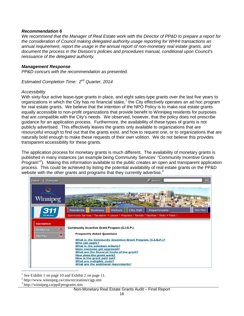### *Recommendation 6*

*We recommend that the Manager of Real Estate work with the Director of PP&D to prepare a report for the consideration of Council making delegated authority usage reporting for WHHI transactions an annual requirement, report the usage in the annual report of non-monetary real estate grants, and document the process in the Division's policies and procedures manual, conditional upon Council's reissuance of the delegated authority.*

#### *Management Response*

*PP&D concurs with the recommendation as presented.* 

*Estimated Completion Time: 2nd Quarter, 2014*

#### *Accessibility*

With sixty-four active lease-type grants in place, and eight sales-type grants over the last five years to organizations in which the City has no financial stake,<sup>[1](#page-15-0)</sup> the City effectively operates an ad hoc program for real estate grants. We believe that the intention of the NPO Policy is to make real estate grants equally accessible to non-profit organizations that provide benefit to Winnipeg residents for purposes that are compatible with the City's needs. We observed, however, that the policy does not prescribe guidance for an application process. Furthermore, the availability of these types of grants is not publicly advertised. This effectively leaves the grants only available to organizations that are resourceful enough to find out that the grants exist, and how to request one, or to organizations that are naturally bold enough to make these requests of their own volition. We do not believe this provides transparent accessibility for these grants.

The application process for monetary grants is much different. The availability of monetary grants is published in many instances (an example being Community Services' "Community Incentive Grants Program"<sup>[2](#page-16-0)</sup>). Making this information available to the public creates an open and transparent application process. This could be achieved by listing the potential availability of real estate grants on the PP&D website with the other grants and programs that they currently advertise.<sup>[3](#page-16-1)</sup>

| Home<br>Français                                        | $\mathcal{L}$ Search<br>Go                                                                                                                                                                                                                                                                                                                                                                                        |
|---------------------------------------------------------|-------------------------------------------------------------------------------------------------------------------------------------------------------------------------------------------------------------------------------------------------------------------------------------------------------------------------------------------------------------------------------------------------------------------|
| Winnipeg<br>311                                         | <b>City Hall</b><br><b>Residents</b><br><b>Visitors</b><br><b>Departments</b><br><b>Business</b><br>Site Map                                                                                                                                                                                                                                                                                                      |
| <b>City Services</b>                                    | Community Services   Recreation + Leisure   Programs   Rentals   Facilities   Parks + Fields                                                                                                                                                                                                                                                                                                                      |
| <b>Recreation</b><br>M<br>Contact Us<br>Site Map<br>sta | Community Incentive Grant Program (C.I.G.P.)<br><b>Frequently Asked Questions</b><br>What is the Community Incentive Grant Program (C.I.G.P.)?<br>Who can apply?<br>What is the selection criteria?<br>Does everyone get approved?<br>What are the financial limits of the grant?<br>How does the grant work?<br>How is the grant paid out?<br>What are ineligible costs?<br>What are the additional requirments? |

<sup>1</sup> See Exhibit 1 on page 10 and Exhibit 2 on page 11.<br><sup>2</sup> http://www.winnipeg.ca/cms/recreation/cigp.stm

<span id="page-16-0"></span>

<span id="page-16-1"></span><sup>3</sup> http://winnipeg.ca/ppd/programs.stm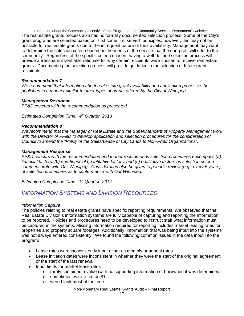~Information about the Community Incentive Grant Program on the Community Services Department's website The real estate grants process also has no formally documented selection process. Some of the City's grant programs are selected based on "first come first served" principles; however, this may not be possible for real estate grants due to the infrequent nature of their availability. Management may want to determine the selection criteria based on the merits of the service that the non-profit will offer to the community. Regardless of the specific criteria chosen, having a well-defined selection process will provide a transparent verifiable rationale for why certain recipients were chosen to receive real estate grants. Documenting the selection process will provide guidance in the selection of future grant recipients.

## *Recommendation 7*

*We recommend that information about real estate grant availability and application processes be published in a manner similar to other types of grants offered by the City of Winnipeg.*

## *Management Response*

*PP&D concurs with the recommendation as presented.* 

*Estimated Completion Time: 4th Quarter, 2013*

## *Recommendation 8*

*We recommend that the Manager of Real Estate and the Superintendent of Property Management work*  with the Director of PP&D to develop application and selection procedures for the consideration of *Council to amend the "Policy of the Sales/Lease of City Lands to Non-Profit Organizations".*

### *Management Response*

*PP&D concurs with the recommendation and further recommends selection procedures encompass (a) financial factors, (b) non-financial quantitative factors, and (c) qualitative factors as selection criteria commensurate with Our Winnipeg. Consideration also be given to periodic review (e.g., every 5 years) of selection procedures as to conformance with Our Winnipeg.*

<span id="page-17-0"></span>*Estimated Completion Time: 1st Quarter, 2014*

# *INFORMATION SYSTEMS AND DIVISION RESOURCES*

### *Information Capture*

The policies relating to real estate grants have specific reporting requirements. We observed that the Real Estate Division's information systems are fully capable of capturing and reporting the information to be reported. Policies and procedures need to be developed to instruct staff what information must be captured in the systems. Missing information required for reporting includes market leasing rates for properties and property square footages. Additionally, information that was being input into the systems was not always entered consistently. We found the following common issues in the data input into the program:

- Lease rates were inconsistently input either as monthly or annual rates
- Lease initiation dates were inconsistent in whether they were the start of the original agreement or the start of the last renewal
- Input fields for market lease rates
	- $\circ$  rarely contained a value (with no supporting information of how/when it was determined)
	- o sometimes were listed as \$1
	- o were blank most of the time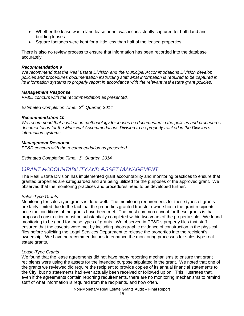- Whether the lease was a land lease or not was inconsistently captured for both land and building leases
- Square footages were kept for a little less than half of the leased properties

There is also no review process to ensure that information has been recorded into the database accurately.

### *Recommendation 9*

*We recommend that the Real Estate Division and the Municipal Accommodations Division develop policies and procedures documentation instructing staff what information is required to be captured in its information systems to properly report in accordance with the relevant real estate grant policies.*

### *Management Response*

*PP&D concurs with the recommendation as presented.* 

*Estimated Completion Time: 2nd Quarter, 2014*

#### *Recommendation 10*

*We recommend that a valuation methodology for leases be documented in the policies and procedures documentation for the Municipal Accommodations Division to be properly tracked in the Division's information systems.*

#### *Management Response*

*PP&D concurs with the recommendation as presented.* 

<span id="page-18-0"></span>*Estimated Completion Time: 1st Quarter, 2014*

# *GRANT ACCOUNTABILITY AND ASSET MANAGEMENT*

The Real Estate Division has implemented grant accountability and monitoring practices to ensure that granted properties are safeguarded and are being utilized for the purposes of the approved grant. We observed that the monitoring practices and procedures need to be developed further.

### *Sales-Type Grants*

Monitoring for sales-type grants is done well. The monitoring requirements for these types of grants are fairly limited due to the fact that the properties granted transfer ownership to the grant recipients once the conditions of the grants have been met. The most common caveat for these grants is that proposed construction must be substantially completed within two years of the property sale. We found monitoring to be good for these types of grants. We observed in PP&D's property files that staff ensured that the caveats were met by including photographic evidence of construction in the physical files before soliciting the Legal Services Department to release the properties into the recipient's ownership. We have no recommendations to enhance the monitoring processes for sales-type real estate grants.

### *Lease-Type Grants*

We found that the lease agreements did not have many reporting mechanisms to ensure that grant recipients were using the assets for the intended purpose stipulated in the grant. We noted that one of the grants we reviewed did require the recipient to provide copies of its annual financial statements to the City, but no statements had ever actually been received or followed up on. This illustrates that, even if the agreements contain reporting requirements, there are no monitoring mechanisms to remind staff of what information is required from the recipients, and how often.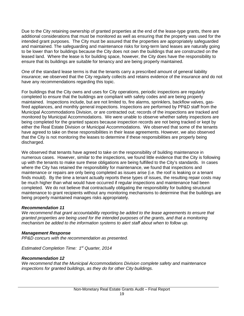Due to the City retaining ownership of granted properties at the end of the lease-type grants, there are additional considerations that must be monitored as well as ensuring that the property was used for the intended grant purposes. The City must be assured that the properties are appropriately safeguarded and maintained. The safeguarding and maintenance risks for long-term land leases are naturally going to be lower than for buildings because the City does not own the buildings that are constructed on the leased land. Where the lease is for building space, however, the City does have the responsibility to ensure that its buildings are suitable for tenancy and are being properly maintained.

One of the standard lease terms is that the tenants carry a prescribed amount of general liability insurance; we observed that the City regularly collects and retains evidence of the insurance and do not have any recommendations regarding this topic.

For buildings that the City owns and uses for City operations, periodic inspections are regularly completed to ensure that the buildings are compliant with safety codes and are being properly maintained. Inspections include, but are not limited to, fire alarms, sprinklers, backflow valves, gasfired appliances, and monthly general inspections. Inspections are performed by PP&D staff from the Municipal Accommodations Division, or are contracted out; records of the inspections are tracked and monitored by Municipal Accommodations. We were unable to observe whether safety inspections are being completed for the granted spaces because inspection records are not being tracked or kept by either the Real Estate Division or Municipal Accommodations. We observed that some of the tenants have agreed to take on these responsibilities in their lease agreements. However, we also observed that the City is not monitoring the leases to determine if these responsibilities are properly being discharged.

We observed that tenants have agreed to take on the responsibility of building maintenance in numerous cases. However, similar to the inspections, we found little evidence that the City is following up with the tenants to make sure these obligations are being fulfilled to the City's standards. In cases where the City has retained the responsibility for maintenance, we found that inspections and maintenance or repairs are only being completed as issues arise (i.e. the roof is leaking or a tenant finds mould). By the time a tenant actually reports these types of issues, the resulting repair costs may be much higher than what would have occurred if regular inspections and maintenance had been completed. We do not believe that contractually obligating the responsibility for building structural maintenance to grant recipients without any monitoring mechanisms to determine that the buildings are being properly maintained manages risks appropriately.

### *Recommendation 11*

We recommend that grant accountability reporting be added to the lease agreements to ensure that *granted properties are being used for the intended purposes of the grants, and that a monitoring mechanism be added to the information systems to alert staff about when to follow up.*

### *Management Response*

*PP&D concurs with the recommendation as presented.* 

*Estimated Completion Time: 1st Quarter, 2014*

### *Recommendation 12*

*We recommend that the Municipal Accommodations Division complete safety and maintenance inspections for granted buildings, as they do for other City buildings.*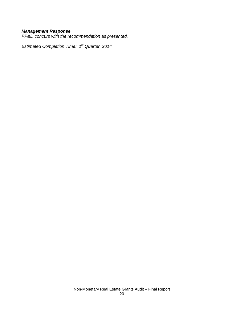## *Management Response*

*PP&D concurs with the recommendation as presented.* 

*Estimated Completion Time: 1st Quarter, 2014*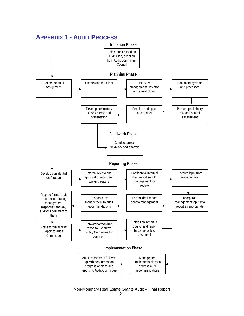

# <span id="page-21-0"></span>**APPENDIX 1 - AUDIT PROCESS**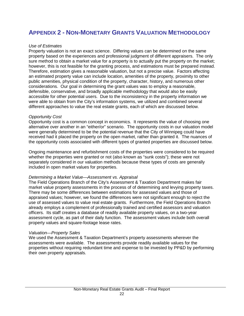# <span id="page-22-0"></span>**APPENDIX 2 - NON-MONETARY GRANTS VALUATION METHODOLOGY**

#### *Use of Estimates*

Property valuation is not an exact science. Differing values can be determined on the same property based on the experiences and professional judgment of different appraisers. The only sure method to obtain a market value for a property is to actually put the property on the market; however, this is not feasible for the granting process, and estimations must be prepared instead. Therefore, estimation gives a reasonable valuation, but not a precise value. Factors affecting an estimated property value can include location, amenities of the property, proximity to other public amenities, physical condition of the property, character, history, and numerous other considerations. Our goal in determining the grant values was to employ a reasonable, defensible, conservative, and broadly applicable methodology that would also be easily accessible for other potential users. Due to the inconsistency in the property information we were able to obtain from the City's information systems, we utilized and combined several different approaches to value the real estate grants, each of which are discussed below.

#### *Opportunity Cost*

Opportunity cost is a common concept in economics. It represents the value of choosing one alternative over another in an "either/or" scenario. The opportunity costs in our valuation model were generally determined to be the potential revenue that the City of Winnipeg could have received had it placed the property on the open market, rather than granted it. The nuances of the opportunity costs associated with different types of granted properties are discussed below.

Ongoing maintenance and refurbishment costs of the properties were considered to be required whether the properties were granted or not (also known as "sunk costs"); these were not separately considered in our valuation methods because these types of costs are generally included in open market values for properties.

#### *Determining a Market Value—Assessment vs. Appraisal*

The Field Operations Branch of the City's Assessment & Taxation Department makes fair market value property assessments in the process of of determining and levying property taxes. There may be some differences between estimations for assessed values and those of appraised values; however, we found the differences were not significant enough to reject the use of assessed values to value real estate grants. Furthermore, the Field Operations Branch already employs a complement of professionally trained and certified assessors and valuation officers. Its staff creates a database of readily available property values, on a two-year assessment cycle, as part of their daily function. The assessment values include both overall property values and square-footage lease rates.

#### *Valuation—Property Sales*

We used the Assessment & Taxation Department's property assessments wherever the assessments were available. The assessments provide readily available values for the properties without requiring redundant time and expense to be invested by PP&D by performing their own property appraisals.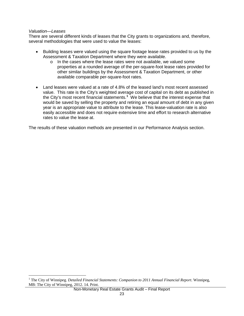#### *Valuation—Leases*

There are several different kinds of leases that the City grants to organizations and, therefore, several methodologies that were used to value the leases:

- Building leases were valued using the square footage lease rates provided to us by the Assessment & Taxation Department where they were available.
	- o In the cases where the lease rates were not available, we valued some properties at a rounded average of the per-square-foot lease rates provided for other similar buildings by the Assessment & Taxation Department, or other available comparable per-square-foot rates.
- Land leases were valued at a rate of 4.8% of the leased land's most recent assessed value. This rate is the City's weighted average cost of capital on its debt as published in the City's most recent financial statements.**[1](#page-16-0)** We believe that the interest expense that would be saved by selling the property and retiring an equal amount of debt in any given year is an appropriate value to attribute to the lease. This lease-valuation rate is also easily accessible and does not require extensive time and effort to research alternative rates to value the lease at.

The results of these valuation methods are presented in our Performance Analysis section.

 <sup>1</sup> The City of Winnipeg. *Detailed Financial Statements: Companion to 2011 Annual Financial Report*. Winnipeg, MB: The City of Winnipeg, 2012. 14. Print.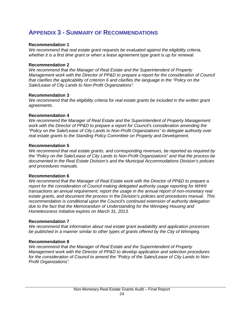# <span id="page-24-0"></span>**APPENDIX 3 - SUMMARY OF RECOMMENDATIONS**

### **Recommendation 1**

*We recommend that real estate grant requests be evaluated against the eligibility criteria, whether it is a first time grant or when a lease agreement type grant is up for renewal.*

#### **Recommendation 2**

*We recommend that the Manager of Real Estate and the Superintendent of Property Management work with the Director of PP&D to prepare a report for the consideration of Council that clarifies the applicability of criterion 6 and clarifies the language in the "Policy on the Sale/Lease of City Lands to Non-Profit Organizations".*

#### **Recommendation 3**

*We recommend that the eligibility criteria for real estate grants be included in the written grant agreements.*

#### **Recommendation 4**

*We recommend the Manager of Real Estate and the Superintendent of Property Management work with the Director of PP&D to prepare a report for Council's consideration amending the "Policy on the Sale/Lease of City Lands to Non-Profit Organizations" to delegate authority over real estate grants to the Standing Policy Committee on Property and Development.*

#### **Recommendation 5**

*We recommend that real estate grants, and corresponding revenues, be reported as required by the "Policy on the Sale/Lease of City Lands to Non-Profit Organizations" and that the process be documented in the Real Estate Division's and the Municipal Accommodations Division's policies and procedures manuals.*

#### **Recommendation 6**

*We recommend that the Manager of Real Estate work with the Director of PP&D to prepare a report for the consideration of Council making delegated authority usage reporting for WHHI transactions an annual requirement, report the usage in the annual report of non-monetary real estate grants, and document the process in the Division's policies and procedures manual. This recommendation is conditional upon the Council's continued extension of authority delegation due to the fact that the Memorandum of Understanding for the Winnipeg Housing and Homelessness Initiative expires on March 31, 2013.*

#### **Recommendation 7**

*We recommend that information about real estate grant availability and application processes be published in a manner similar to other types of grants offered by the City of Winnipeg.*

### **Recommendation 8**

*We recommend that the Manager of Real Estate and the Superintendent of Property Management work with the Director of PP&D to develop application and selection procedures for the consideration of Council to amend the "Policy of the Sales/Lease of City Lands to Non-Profit Organizations".*